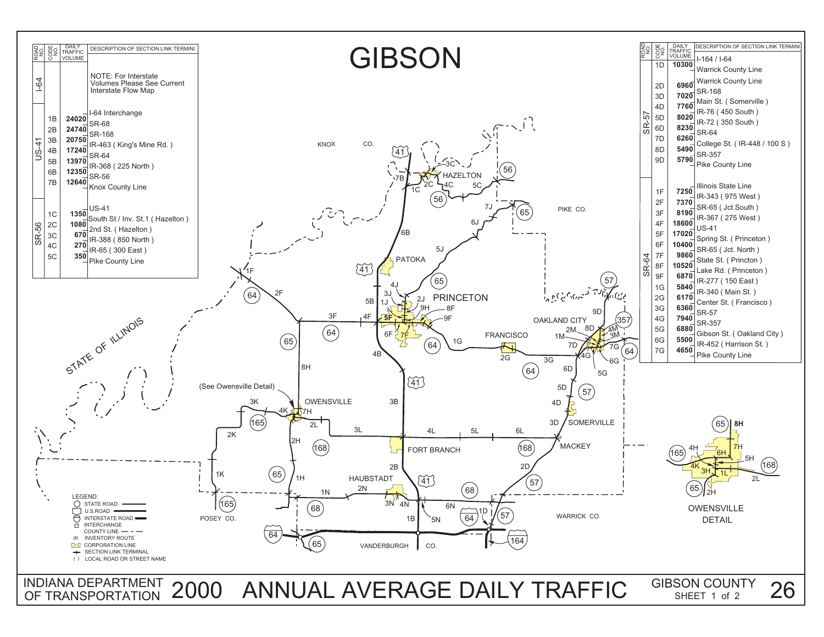